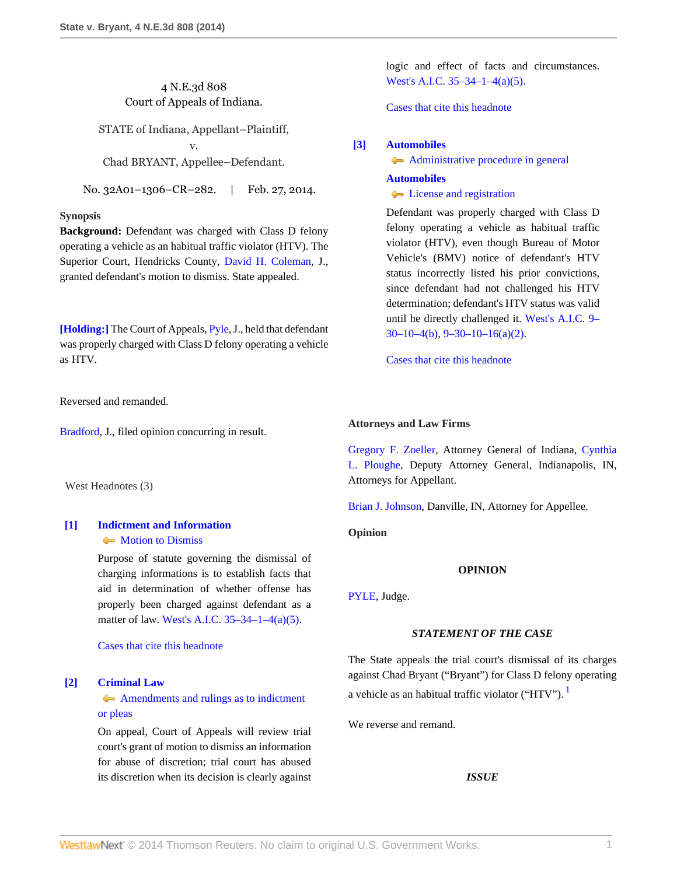# 4 N.E.3d 808 Court of Appeals of Indiana.

STATE of Indiana, Appellant–Plaintiff, v.

Chad BRYANT, Appellee–Defendant.

No. 32A01–1306–CR–282. | Feb. 27, 2014.

### **Synopsis**

**Background:** Defendant was charged with Class D felony operating a vehicle as an habitual traffic violator (HTV). The Superior Court, Hendricks County, [David H. Coleman,](http://www.westlaw.com/Link/Document/FullText?findType=h&pubNum=176284&cite=0169284001&originatingDoc=Ic4d92210a0a111e381b8b0e9e015e69e&refType=RQ&originationContext=document&vr=3.0&rs=cblt1.0&transitionType=DocumentItem&contextData=(sc.Search)) J., granted defendant's motion to dismiss. State appealed.

**[\[Holding:\]](#page-0-0)** The Court of Appeals, [Pyle,](http://www.westlaw.com/Link/Document/FullText?findType=h&pubNum=176284&cite=0432683301&originatingDoc=Ic4d92210a0a111e381b8b0e9e015e69e&refType=RQ&originationContext=document&vr=3.0&rs=cblt1.0&transitionType=DocumentItem&contextData=(sc.Search)) J., held that defendant was properly charged with Class D felony operating a vehicle as HTV.

Reversed and remanded.

[Bradford](http://www.westlaw.com/Link/Document/FullText?findType=h&pubNum=176284&cite=0117178901&originatingDoc=Ic4d92210a0a111e381b8b0e9e015e69e&refType=RQ&originationContext=document&vr=3.0&rs=cblt1.0&transitionType=DocumentItem&contextData=(sc.Search)), J., filed opinion concurring in result.

West Headnotes (3)

# <span id="page-0-1"></span>**[\[1\]](#page-1-0) [Indictment and Information](http://www.westlaw.com/Browse/Home/KeyNumber/210/View.html?docGuid=Ic4d92210a0a111e381b8b0e9e015e69e&originationContext=document&vr=3.0&rs=cblt1.0&transitionType=DocumentItem&contextData=(sc.Search))** • [Motion to Dismiss](http://www.westlaw.com/Browse/Home/KeyNumber/210IX/View.html?docGuid=Ic4d92210a0a111e381b8b0e9e015e69e&originationContext=document&vr=3.0&rs=cblt1.0&transitionType=DocumentItem&contextData=(sc.Search))

Purpose of statute governing the dismissal of charging informations is to establish facts that aid in determination of whether offense has properly been charged against defendant as a matter of law. [West's A.I.C. 35–34–1–4\(a\)\(5\).](http://www.westlaw.com/Link/Document/FullText?findType=L&pubNum=1000009&cite=INS35-34-1-4&originatingDoc=Ic4d92210a0a111e381b8b0e9e015e69e&refType=SP&originationContext=document&vr=3.0&rs=cblt1.0&transitionType=DocumentItem&contextData=(sc.Search)#co_pp_488b0000d05e2)

[Cases that cite this headnote](http://www.westlaw.com/Link/RelatedInformation/DocHeadnoteLink?docGuid=Ic4d92210a0a111e381b8b0e9e015e69e&headnoteId=203280654400120140622080728&originationContext=document&vr=3.0&rs=cblt1.0&transitionType=CitingReferences&contextData=(sc.Search))

## <span id="page-0-2"></span>**[\[2\]](#page-1-1) [Criminal Law](http://www.westlaw.com/Browse/Home/KeyNumber/110/View.html?docGuid=Ic4d92210a0a111e381b8b0e9e015e69e&originationContext=document&vr=3.0&rs=cblt1.0&transitionType=DocumentItem&contextData=(sc.Search))**

[Amendments and rulings as to indictment](http://www.westlaw.com/Browse/Home/KeyNumber/110k1149/View.html?docGuid=Ic4d92210a0a111e381b8b0e9e015e69e&originationContext=document&vr=3.0&rs=cblt1.0&transitionType=DocumentItem&contextData=(sc.Search)) [or pleas](http://www.westlaw.com/Browse/Home/KeyNumber/110k1149/View.html?docGuid=Ic4d92210a0a111e381b8b0e9e015e69e&originationContext=document&vr=3.0&rs=cblt1.0&transitionType=DocumentItem&contextData=(sc.Search))

On appeal, Court of Appeals will review trial court's grant of motion to dismiss an information for abuse of discretion; trial court has abused its discretion when its decision is clearly against logic and effect of facts and circumstances. [West's A.I.C. 35–34–1–4\(a\)\(5\)](http://www.westlaw.com/Link/Document/FullText?findType=L&pubNum=1000009&cite=INS35-34-1-4&originatingDoc=Ic4d92210a0a111e381b8b0e9e015e69e&refType=SP&originationContext=document&vr=3.0&rs=cblt1.0&transitionType=DocumentItem&contextData=(sc.Search)#co_pp_488b0000d05e2).

[Cases that cite this headnote](http://www.westlaw.com/Link/RelatedInformation/DocHeadnoteLink?docGuid=Ic4d92210a0a111e381b8b0e9e015e69e&headnoteId=203280654400220140622080728&originationContext=document&vr=3.0&rs=cblt1.0&transitionType=CitingReferences&contextData=(sc.Search))

# <span id="page-0-0"></span>**[\[3\]](#page-4-0) [Automobiles](http://www.westlaw.com/Browse/Home/KeyNumber/48A/View.html?docGuid=Ic4d92210a0a111e381b8b0e9e015e69e&originationContext=document&vr=3.0&rs=cblt1.0&transitionType=DocumentItem&contextData=(sc.Search))**

[Administrative procedure in general](http://www.westlaw.com/Browse/Home/KeyNumber/48Ak144.2(1)/View.html?docGuid=Ic4d92210a0a111e381b8b0e9e015e69e&originationContext=document&vr=3.0&rs=cblt1.0&transitionType=DocumentItem&contextData=(sc.Search))

**[Automobiles](http://www.westlaw.com/Browse/Home/KeyNumber/48A/View.html?docGuid=Ic4d92210a0a111e381b8b0e9e015e69e&originationContext=document&vr=3.0&rs=cblt1.0&transitionType=DocumentItem&contextData=(sc.Search)) C** [License and registration](http://www.westlaw.com/Browse/Home/KeyNumber/48Ak326/View.html?docGuid=Ic4d92210a0a111e381b8b0e9e015e69e&originationContext=document&vr=3.0&rs=cblt1.0&transitionType=DocumentItem&contextData=(sc.Search))

Defendant was properly charged with Class D felony operating a vehicle as habitual traffic violator (HTV), even though Bureau of Motor Vehicle's (BMV) notice of defendant's HTV status incorrectly listed his prior convictions, since defendant had not challenged his HTV determination; defendant's HTV status was valid until he directly challenged it. [West's A.I.C. 9–](http://www.westlaw.com/Link/Document/FullText?findType=L&pubNum=1000009&cite=INS9-30-10-4&originatingDoc=Ic4d92210a0a111e381b8b0e9e015e69e&refType=SP&originationContext=document&vr=3.0&rs=cblt1.0&transitionType=DocumentItem&contextData=(sc.Search)#co_pp_a83b000018c76)  $30-10-4(b)$ ,  $9-30-10-16(a)(2)$ .

[Cases that cite this headnote](http://www.westlaw.com/Link/RelatedInformation/DocHeadnoteLink?docGuid=Ic4d92210a0a111e381b8b0e9e015e69e&headnoteId=203280654400320140622080728&originationContext=document&vr=3.0&rs=cblt1.0&transitionType=CitingReferences&contextData=(sc.Search))

## **Attorneys and Law Firms**

[Gregory F. Zoeller,](http://www.westlaw.com/Link/Document/FullText?findType=h&pubNum=176284&cite=0136038801&originatingDoc=Ic4d92210a0a111e381b8b0e9e015e69e&refType=RQ&originationContext=document&vr=3.0&rs=cblt1.0&transitionType=DocumentItem&contextData=(sc.Search)) Attorney General of Indiana, [Cynthia](http://www.westlaw.com/Link/Document/FullText?findType=h&pubNum=176284&cite=0464287301&originatingDoc=Ic4d92210a0a111e381b8b0e9e015e69e&refType=RQ&originationContext=document&vr=3.0&rs=cblt1.0&transitionType=DocumentItem&contextData=(sc.Search)) [L. Ploughe](http://www.westlaw.com/Link/Document/FullText?findType=h&pubNum=176284&cite=0464287301&originatingDoc=Ic4d92210a0a111e381b8b0e9e015e69e&refType=RQ&originationContext=document&vr=3.0&rs=cblt1.0&transitionType=DocumentItem&contextData=(sc.Search)), Deputy Attorney General, Indianapolis, IN, Attorneys for Appellant.

[Brian J. Johnson](http://www.westlaw.com/Link/Document/FullText?findType=h&pubNum=176284&cite=0423895601&originatingDoc=Ic4d92210a0a111e381b8b0e9e015e69e&refType=RQ&originationContext=document&vr=3.0&rs=cblt1.0&transitionType=DocumentItem&contextData=(sc.Search)), Danville, IN, Attorney for Appellee.

**Opinion**

# **OPINION**

[PYLE](http://www.westlaw.com/Link/Document/FullText?findType=h&pubNum=176284&cite=0432683301&originatingDoc=Ic4d92210a0a111e381b8b0e9e015e69e&refType=RQ&originationContext=document&vr=3.0&rs=cblt1.0&transitionType=DocumentItem&contextData=(sc.Search)), Judge.

## *STATEMENT OF THE CASE*

The State appeals the trial court's dismissal of its charges against Chad Bryant ("Bryant") for Class D felony operating a vehicle as an habitual traffic violator ("HTV"). [1](#page-5-0)

We reverse and remand.

<span id="page-0-3"></span>*ISSUE*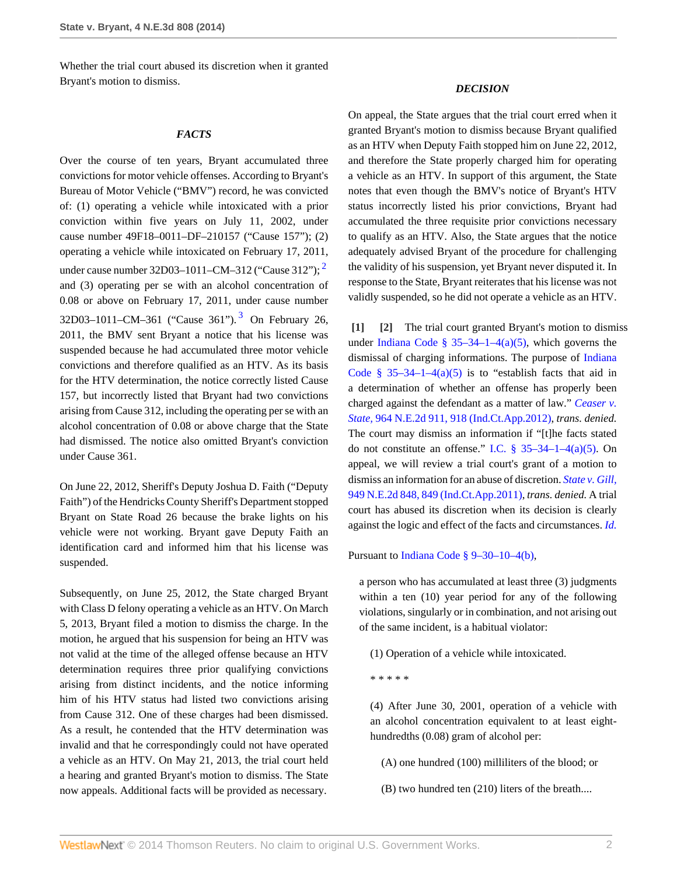Whether the trial court abused its discretion when it granted Bryant's motion to dismiss.

#### *FACTS*

Over the course of ten years, Bryant accumulated three convictions for motor vehicle offenses. According to Bryant's Bureau of Motor Vehicle ("BMV") record, he was convicted of: (1) operating a vehicle while intoxicated with a prior conviction within five years on July 11, 2002, under cause number 49F18–0011–DF–210157 ("Cause 157"); (2) operating a vehicle while intoxicated on February 17, 2011, under cause number 3[2](#page-5-1)D03-1011-CM-312 ("Cause 312");  $^2$ and (3) operating per se with an alcohol concentration of 0.08 or above on February 17, 2011, under cause number [3](#page-5-2)2D03-1011-CM-361 ("Cause 361").<sup>3</sup> On February 26, 2011, the BMV sent Bryant a notice that his license was suspended because he had accumulated three motor vehicle convictions and therefore qualified as an HTV. As its basis for the HTV determination, the notice correctly listed Cause 157, but incorrectly listed that Bryant had two convictions arising from Cause 312, including the operating per se with an alcohol concentration of 0.08 or above charge that the State had dismissed. The notice also omitted Bryant's conviction under Cause 361.

On June 22, 2012, Sheriff's Deputy Joshua D. Faith ("Deputy Faith") of the Hendricks County Sheriff's Department stopped Bryant on State Road 26 because the brake lights on his vehicle were not working. Bryant gave Deputy Faith an identification card and informed him that his license was suspended.

Subsequently, on June 25, 2012, the State charged Bryant with Class D felony operating a vehicle as an HTV. On March 5, 2013, Bryant filed a motion to dismiss the charge. In the motion, he argued that his suspension for being an HTV was not valid at the time of the alleged offense because an HTV determination requires three prior qualifying convictions arising from distinct incidents, and the notice informing him of his HTV status had listed two convictions arising from Cause 312. One of these charges had been dismissed. As a result, he contended that the HTV determination was invalid and that he correspondingly could not have operated a vehicle as an HTV. On May 21, 2013, the trial court held a hearing and granted Bryant's motion to dismiss. The State now appeals. Additional facts will be provided as necessary.

#### *DECISION*

On appeal, the State argues that the trial court erred when it granted Bryant's motion to dismiss because Bryant qualified as an HTV when Deputy Faith stopped him on June 22, 2012, and therefore the State properly charged him for operating a vehicle as an HTV. In support of this argument, the State notes that even though the BMV's notice of Bryant's HTV status incorrectly listed his prior convictions, Bryant had accumulated the three requisite prior convictions necessary to qualify as an HTV. Also, the State argues that the notice adequately advised Bryant of the procedure for challenging the validity of his suspension, yet Bryant never disputed it. In response to the State, Bryant reiterates that his license was not validly suspended, so he did not operate a vehicle as an HTV.

<span id="page-1-3"></span><span id="page-1-2"></span><span id="page-1-1"></span><span id="page-1-0"></span>**[\[1\]](#page-0-1) [\[2\]](#page-0-2)** The trial court granted Bryant's motion to dismiss under [Indiana Code § 35–34–1–4\(a\)\(5\)](http://www.westlaw.com/Link/Document/FullText?findType=L&pubNum=1000009&cite=INS35-34-1-4&originatingDoc=Ic4d92210a0a111e381b8b0e9e015e69e&refType=SP&originationContext=document&vr=3.0&rs=cblt1.0&transitionType=DocumentItem&contextData=(sc.Search)#co_pp_488b0000d05e2), which governs the dismissal of charging informations. The purpose of [Indiana](http://www.westlaw.com/Link/Document/FullText?findType=L&pubNum=1000009&cite=INS35-34-1-4&originatingDoc=Ic4d92210a0a111e381b8b0e9e015e69e&refType=SP&originationContext=document&vr=3.0&rs=cblt1.0&transitionType=DocumentItem&contextData=(sc.Search)#co_pp_488b0000d05e2) [Code § 35–34–1–4\(a\)\(5\)](http://www.westlaw.com/Link/Document/FullText?findType=L&pubNum=1000009&cite=INS35-34-1-4&originatingDoc=Ic4d92210a0a111e381b8b0e9e015e69e&refType=SP&originationContext=document&vr=3.0&rs=cblt1.0&transitionType=DocumentItem&contextData=(sc.Search)#co_pp_488b0000d05e2) is to "establish facts that aid in a determination of whether an offense has properly been charged against the defendant as a matter of law." *[Ceaser v.](http://www.westlaw.com/Link/Document/FullText?findType=Y&serNum=2027374948&pubNum=578&fi=co_pp_sp_578_918&originationContext=document&vr=3.0&rs=cblt1.0&transitionType=DocumentItem&contextData=(sc.Search)#co_pp_sp_578_918) State,* [964 N.E.2d 911, 918 \(Ind.Ct.App.2012\),](http://www.westlaw.com/Link/Document/FullText?findType=Y&serNum=2027374948&pubNum=578&fi=co_pp_sp_578_918&originationContext=document&vr=3.0&rs=cblt1.0&transitionType=DocumentItem&contextData=(sc.Search)#co_pp_sp_578_918) *trans. denied.* The court may dismiss an information if "[t]he facts stated do not constitute an offense." I.C.  $\S 35-34-1-4(a)(5)$ . On appeal, we will review a trial court's grant of a motion to dismiss an information for an abuse of discretion. *[State v. Gill,](http://www.westlaw.com/Link/Document/FullText?findType=Y&serNum=2025376214&pubNum=578&fi=co_pp_sp_578_849&originationContext=document&vr=3.0&rs=cblt1.0&transitionType=DocumentItem&contextData=(sc.Search)#co_pp_sp_578_849)* [949 N.E.2d 848, 849 \(Ind.Ct.App.2011\)](http://www.westlaw.com/Link/Document/FullText?findType=Y&serNum=2025376214&pubNum=578&fi=co_pp_sp_578_849&originationContext=document&vr=3.0&rs=cblt1.0&transitionType=DocumentItem&contextData=(sc.Search)#co_pp_sp_578_849), *trans. denied.* A trial court has abused its discretion when its decision is clearly against the logic and effect of the facts and circumstances. *[Id.](http://www.westlaw.com/Link/Document/FullText?findType=Y&serNum=2025376214&originationContext=document&vr=3.0&rs=cblt1.0&transitionType=DocumentItem&contextData=(sc.Search))*

Pursuant to [Indiana Code § 9–30–10–4\(b\)](http://www.westlaw.com/Link/Document/FullText?findType=L&pubNum=1000009&cite=INS9-30-10-4&originatingDoc=Ic4d92210a0a111e381b8b0e9e015e69e&refType=SP&originationContext=document&vr=3.0&rs=cblt1.0&transitionType=DocumentItem&contextData=(sc.Search)#co_pp_a83b000018c76),

a person who has accumulated at least three (3) judgments within a ten (10) year period for any of the following violations, singularly or in combination, and not arising out of the same incident, is a habitual violator:

(1) Operation of a vehicle while intoxicated.

\* \* \* \* \*

(4) After June 30, 2001, operation of a vehicle with an alcohol concentration equivalent to at least eighthundredths (0.08) gram of alcohol per:

(A) one hundred (100) milliliters of the blood; or

(B) two hundred ten (210) liters of the breath....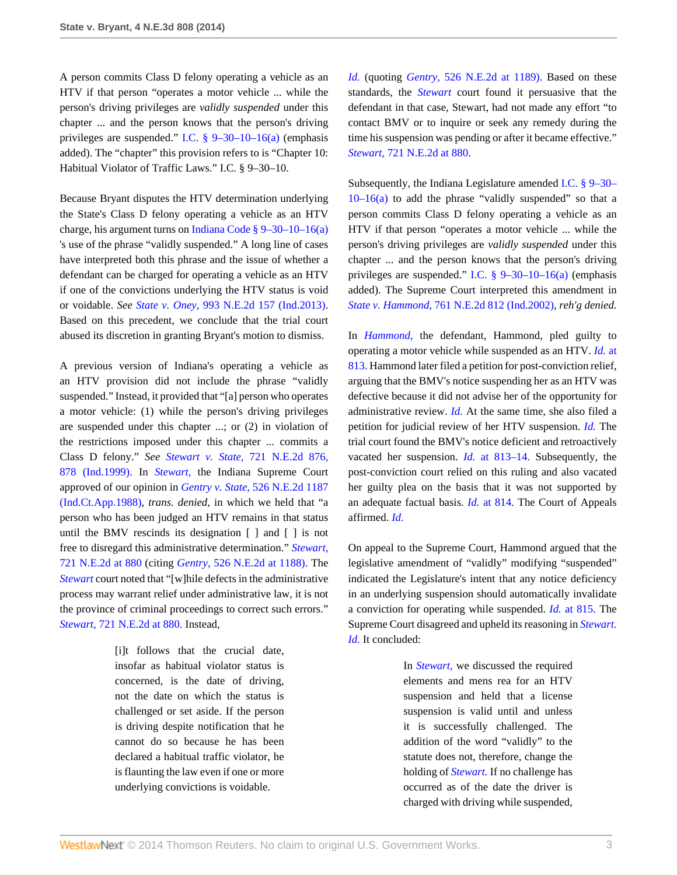A person commits Class D felony operating a vehicle as an HTV if that person "operates a motor vehicle ... while the person's driving privileges are *validly suspended* under this chapter ... and the person knows that the person's driving privileges are suspended." [I.C. § 9–30–10–16\(a\)](http://www.westlaw.com/Link/Document/FullText?findType=L&pubNum=1000009&cite=INS9-30-10-16&originatingDoc=Ic4d92210a0a111e381b8b0e9e015e69e&refType=SP&originationContext=document&vr=3.0&rs=cblt1.0&transitionType=DocumentItem&contextData=(sc.Search)#co_pp_8b3b0000958a4) (emphasis added). The "chapter" this provision refers to is "Chapter 10: Habitual Violator of Traffic Laws." I.C. § 9–30–10.

Because Bryant disputes the HTV determination underlying the State's Class D felony operating a vehicle as an HTV charge, his argument turns on [Indiana Code § 9–30–10–16\(a\)](http://www.westlaw.com/Link/Document/FullText?findType=L&pubNum=1000009&cite=INS9-30-10-16&originatingDoc=Ic4d92210a0a111e381b8b0e9e015e69e&refType=SP&originationContext=document&vr=3.0&rs=cblt1.0&transitionType=DocumentItem&contextData=(sc.Search)#co_pp_8b3b0000958a4) 's use of the phrase "validly suspended." A long line of cases have interpreted both this phrase and the issue of whether a defendant can be charged for operating a vehicle as an HTV if one of the convictions underlying the HTV status is void or voidable. *See State v. Oney,* [993 N.E.2d 157 \(Ind.2013\)](http://www.westlaw.com/Link/Document/FullText?findType=Y&serNum=2031384116&pubNum=578&originationContext=document&vr=3.0&rs=cblt1.0&transitionType=DocumentItem&contextData=(sc.Search)). Based on this precedent, we conclude that the trial court abused its discretion in granting Bryant's motion to dismiss.

A previous version of Indiana's operating a vehicle as an HTV provision did not include the phrase "validly suspended." Instead, it provided that "[a] person who operates a motor vehicle: (1) while the person's driving privileges are suspended under this chapter ...; or (2) in violation of the restrictions imposed under this chapter ... commits a Class D felony." *See Stewart v. State,* [721 N.E.2d 876,](http://www.westlaw.com/Link/Document/FullText?findType=Y&serNum=2000026765&pubNum=578&fi=co_pp_sp_578_878&originationContext=document&vr=3.0&rs=cblt1.0&transitionType=DocumentItem&contextData=(sc.Search)#co_pp_sp_578_878) [878 \(Ind.1999\)](http://www.westlaw.com/Link/Document/FullText?findType=Y&serNum=2000026765&pubNum=578&fi=co_pp_sp_578_878&originationContext=document&vr=3.0&rs=cblt1.0&transitionType=DocumentItem&contextData=(sc.Search)#co_pp_sp_578_878). In *[Stewart,](http://www.westlaw.com/Link/Document/FullText?findType=Y&serNum=2000026765&originationContext=document&vr=3.0&rs=cblt1.0&transitionType=DocumentItem&contextData=(sc.Search))* the Indiana Supreme Court approved of our opinion in *Gentry v. State,* [526 N.E.2d 1187](http://www.westlaw.com/Link/Document/FullText?findType=Y&serNum=1988106831&pubNum=578&originationContext=document&vr=3.0&rs=cblt1.0&transitionType=DocumentItem&contextData=(sc.Search)) [\(Ind.Ct.App.1988\)](http://www.westlaw.com/Link/Document/FullText?findType=Y&serNum=1988106831&pubNum=578&originationContext=document&vr=3.0&rs=cblt1.0&transitionType=DocumentItem&contextData=(sc.Search)), *trans. denied,* in which we held that "a person who has been judged an HTV remains in that status until the BMV rescinds its designation [ ] and [ ] is not free to disregard this administrative determination." *[Stewart,](http://www.westlaw.com/Link/Document/FullText?findType=Y&serNum=2000026765&pubNum=578&fi=co_pp_sp_578_880&originationContext=document&vr=3.0&rs=cblt1.0&transitionType=DocumentItem&contextData=(sc.Search)#co_pp_sp_578_880)* [721 N.E.2d at 880](http://www.westlaw.com/Link/Document/FullText?findType=Y&serNum=2000026765&pubNum=578&fi=co_pp_sp_578_880&originationContext=document&vr=3.0&rs=cblt1.0&transitionType=DocumentItem&contextData=(sc.Search)#co_pp_sp_578_880) (citing *Gentry,* [526 N.E.2d at 1188\).](http://www.westlaw.com/Link/Document/FullText?findType=Y&serNum=1988106831&pubNum=578&fi=co_pp_sp_578_1188&originationContext=document&vr=3.0&rs=cblt1.0&transitionType=DocumentItem&contextData=(sc.Search)#co_pp_sp_578_1188) The *[Stewart](http://www.westlaw.com/Link/Document/FullText?findType=Y&serNum=2000026765&originationContext=document&vr=3.0&rs=cblt1.0&transitionType=DocumentItem&contextData=(sc.Search))* court noted that "[w]hile defects in the administrative process may warrant relief under administrative law, it is not the province of criminal proceedings to correct such errors." *Stewart,* [721 N.E.2d at 880.](http://www.westlaw.com/Link/Document/FullText?findType=Y&serNum=2000026765&pubNum=578&fi=co_pp_sp_578_880&originationContext=document&vr=3.0&rs=cblt1.0&transitionType=DocumentItem&contextData=(sc.Search)#co_pp_sp_578_880) Instead,

> [i]t follows that the crucial date, insofar as habitual violator status is concerned, is the date of driving, not the date on which the status is challenged or set aside. If the person is driving despite notification that he cannot do so because he has been declared a habitual traffic violator, he is flaunting the law even if one or more underlying convictions is voidable.

*[Id.](http://www.westlaw.com/Link/Document/FullText?findType=Y&serNum=2000026765&originationContext=document&vr=3.0&rs=cblt1.0&transitionType=DocumentItem&contextData=(sc.Search))* (quoting *Gentry,* [526 N.E.2d at 1189\).](http://www.westlaw.com/Link/Document/FullText?findType=Y&serNum=1988106831&pubNum=578&fi=co_pp_sp_578_1189&originationContext=document&vr=3.0&rs=cblt1.0&transitionType=DocumentItem&contextData=(sc.Search)#co_pp_sp_578_1189) Based on these standards, the *[Stewart](http://www.westlaw.com/Link/Document/FullText?findType=Y&serNum=2000026765&originationContext=document&vr=3.0&rs=cblt1.0&transitionType=DocumentItem&contextData=(sc.Search))* court found it persuasive that the defendant in that case, Stewart, had not made any effort "to contact BMV or to inquire or seek any remedy during the time his suspension was pending or after it became effective." *Stewart,* [721 N.E.2d at 880.](http://www.westlaw.com/Link/Document/FullText?findType=Y&serNum=2000026765&pubNum=578&fi=co_pp_sp_578_880&originationContext=document&vr=3.0&rs=cblt1.0&transitionType=DocumentItem&contextData=(sc.Search)#co_pp_sp_578_880)

Subsequently, the Indiana Legislature amended [I.C. § 9–30–](http://www.westlaw.com/Link/Document/FullText?findType=L&pubNum=1000009&cite=INS9-30-10-16&originatingDoc=Ic4d92210a0a111e381b8b0e9e015e69e&refType=SP&originationContext=document&vr=3.0&rs=cblt1.0&transitionType=DocumentItem&contextData=(sc.Search)#co_pp_8b3b0000958a4)  $10-16(a)$  to add the phrase "validly suspended" so that a person commits Class D felony operating a vehicle as an HTV if that person "operates a motor vehicle ... while the person's driving privileges are *validly suspended* under this chapter ... and the person knows that the person's driving privileges are suspended." [I.C. § 9–30–10–16\(a\)](http://www.westlaw.com/Link/Document/FullText?findType=L&pubNum=1000009&cite=INS9-30-10-16&originatingDoc=Ic4d92210a0a111e381b8b0e9e015e69e&refType=SP&originationContext=document&vr=3.0&rs=cblt1.0&transitionType=DocumentItem&contextData=(sc.Search)#co_pp_8b3b0000958a4) (emphasis added). The Supreme Court interpreted this amendment in *State v. Hammond,* [761 N.E.2d 812 \(Ind.2002\)](http://www.westlaw.com/Link/Document/FullText?findType=Y&serNum=2002097384&pubNum=578&originationContext=document&vr=3.0&rs=cblt1.0&transitionType=DocumentItem&contextData=(sc.Search)), *reh'g denied.*

In *[Hammond,](http://www.westlaw.com/Link/Document/FullText?findType=Y&serNum=2002097384&originationContext=document&vr=3.0&rs=cblt1.0&transitionType=DocumentItem&contextData=(sc.Search))* the defendant, Hammond, pled guilty to operating a motor vehicle while suspended as an HTV. *[Id.](http://www.westlaw.com/Link/Document/FullText?findType=Y&serNum=2002097384&originationContext=document&vr=3.0&rs=cblt1.0&transitionType=DocumentItem&contextData=(sc.Search))* at [813.](http://www.westlaw.com/Link/Document/FullText?findType=Y&serNum=2002097384&originationContext=document&vr=3.0&rs=cblt1.0&transitionType=DocumentItem&contextData=(sc.Search)) Hammond later filed a petition for post-conviction relief, arguing that the BMV's notice suspending her as an HTV was defective because it did not advise her of the opportunity for administrative review. *[Id.](http://www.westlaw.com/Link/Document/FullText?findType=Y&serNum=2002097384&originationContext=document&vr=3.0&rs=cblt1.0&transitionType=DocumentItem&contextData=(sc.Search))* At the same time, she also filed a petition for judicial review of her HTV suspension. *[Id.](http://www.westlaw.com/Link/Document/FullText?findType=Y&serNum=2002097384&originationContext=document&vr=3.0&rs=cblt1.0&transitionType=DocumentItem&contextData=(sc.Search))* The trial court found the BMV's notice deficient and retroactively vacated her suspension. *Id.* [at 813–14.](http://www.westlaw.com/Link/Document/FullText?findType=Y&serNum=2002097384&originationContext=document&vr=3.0&rs=cblt1.0&transitionType=DocumentItem&contextData=(sc.Search)) Subsequently, the post-conviction court relied on this ruling and also vacated her guilty plea on the basis that it was not supported by an adequate factual basis. *Id.* [at 814.](http://www.westlaw.com/Link/Document/FullText?findType=Y&serNum=2002097384&originationContext=document&vr=3.0&rs=cblt1.0&transitionType=DocumentItem&contextData=(sc.Search)) The Court of Appeals affirmed. *[Id.](http://www.westlaw.com/Link/Document/FullText?findType=Y&serNum=2002097384&originationContext=document&vr=3.0&rs=cblt1.0&transitionType=DocumentItem&contextData=(sc.Search))*

On appeal to the Supreme Court, Hammond argued that the legislative amendment of "validly" modifying "suspended" indicated the Legislature's intent that any notice deficiency in an underlying suspension should automatically invalidate a conviction for operating while suspended. *Id.* [at 815.](http://www.westlaw.com/Link/Document/FullText?findType=Y&serNum=2002097384&originationContext=document&vr=3.0&rs=cblt1.0&transitionType=DocumentItem&contextData=(sc.Search)) The Supreme Court disagreed and upheld its reasoning in *[Stewart.](http://www.westlaw.com/Link/Document/FullText?findType=Y&serNum=2000026765&originationContext=document&vr=3.0&rs=cblt1.0&transitionType=DocumentItem&contextData=(sc.Search)) [Id.](http://www.westlaw.com/Link/Document/FullText?findType=Y&serNum=2002097384&originationContext=document&vr=3.0&rs=cblt1.0&transitionType=DocumentItem&contextData=(sc.Search))* It concluded:

> In *[Stewart,](http://www.westlaw.com/Link/Document/FullText?findType=Y&serNum=2000026765&originationContext=document&vr=3.0&rs=cblt1.0&transitionType=DocumentItem&contextData=(sc.Search))* we discussed the required elements and mens rea for an HTV suspension and held that a license suspension is valid until and unless it is successfully challenged. The addition of the word "validly" to the statute does not, therefore, change the holding of *[Stewart.](http://www.westlaw.com/Link/Document/FullText?findType=Y&serNum=2000026765&originationContext=document&vr=3.0&rs=cblt1.0&transitionType=DocumentItem&contextData=(sc.Search))* If no challenge has occurred as of the date the driver is charged with driving while suspended,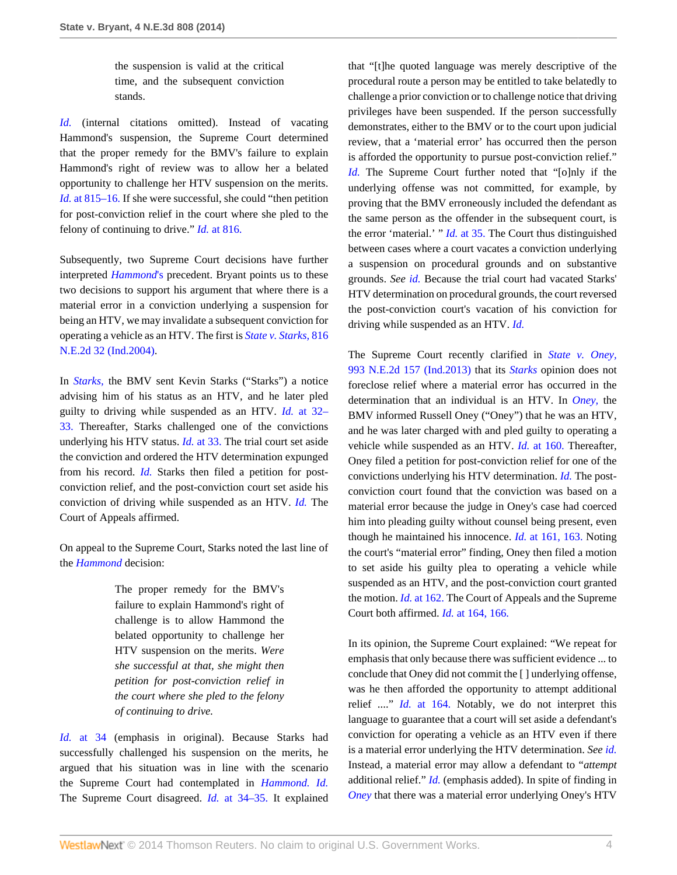the suspension is valid at the critical time, and the subsequent conviction stands.

*[Id.](http://www.westlaw.com/Link/Document/FullText?findType=Y&serNum=2002097384&originationContext=document&vr=3.0&rs=cblt1.0&transitionType=DocumentItem&contextData=(sc.Search))* (internal citations omitted). Instead of vacating Hammond's suspension, the Supreme Court determined that the proper remedy for the BMV's failure to explain Hammond's right of review was to allow her a belated opportunity to challenge her HTV suspension on the merits. *Id.* [at 815–16.](http://www.westlaw.com/Link/Document/FullText?findType=Y&serNum=2002097384&originationContext=document&vr=3.0&rs=cblt1.0&transitionType=DocumentItem&contextData=(sc.Search)) If she were successful, she could "then petition for post-conviction relief in the court where she pled to the felony of continuing to drive." *Id.* [at 816.](http://www.westlaw.com/Link/Document/FullText?findType=Y&serNum=2002097384&originationContext=document&vr=3.0&rs=cblt1.0&transitionType=DocumentItem&contextData=(sc.Search))

Subsequently, two Supreme Court decisions have further interpreted *[Hammond](http://www.westlaw.com/Link/Document/FullText?findType=Y&serNum=2002097384&originationContext=document&vr=3.0&rs=cblt1.0&transitionType=DocumentItem&contextData=(sc.Search))*'s precedent. Bryant points us to these two decisions to support his argument that where there is a material error in a conviction underlying a suspension for being an HTV, we may invalidate a subsequent conviction for operating a vehicle as an HTV. The first is *[State v. Starks,](http://www.westlaw.com/Link/Document/FullText?findType=Y&serNum=2005356873&pubNum=578&originationContext=document&vr=3.0&rs=cblt1.0&transitionType=DocumentItem&contextData=(sc.Search))* 816 [N.E.2d 32 \(Ind.2004\).](http://www.westlaw.com/Link/Document/FullText?findType=Y&serNum=2005356873&pubNum=578&originationContext=document&vr=3.0&rs=cblt1.0&transitionType=DocumentItem&contextData=(sc.Search))

In *[Starks,](http://www.westlaw.com/Link/Document/FullText?findType=Y&serNum=2005356873&originationContext=document&vr=3.0&rs=cblt1.0&transitionType=DocumentItem&contextData=(sc.Search))* the BMV sent Kevin Starks ("Starks") a notice advising him of his status as an HTV, and he later pled guilty to driving while suspended as an HTV. *Id.* [at 32–](http://www.westlaw.com/Link/Document/FullText?findType=Y&serNum=2005356873&originationContext=document&vr=3.0&rs=cblt1.0&transitionType=DocumentItem&contextData=(sc.Search)) [33.](http://www.westlaw.com/Link/Document/FullText?findType=Y&serNum=2005356873&originationContext=document&vr=3.0&rs=cblt1.0&transitionType=DocumentItem&contextData=(sc.Search)) Thereafter, Starks challenged one of the convictions underlying his HTV status. *Id.* [at 33.](http://www.westlaw.com/Link/Document/FullText?findType=Y&serNum=2005356873&originationContext=document&vr=3.0&rs=cblt1.0&transitionType=DocumentItem&contextData=(sc.Search)) The trial court set aside the conviction and ordered the HTV determination expunged from his record. *[Id.](http://www.westlaw.com/Link/Document/FullText?findType=Y&serNum=2005356873&originationContext=document&vr=3.0&rs=cblt1.0&transitionType=DocumentItem&contextData=(sc.Search))* Starks then filed a petition for postconviction relief, and the post-conviction court set aside his conviction of driving while suspended as an HTV. *[Id.](http://www.westlaw.com/Link/Document/FullText?findType=Y&serNum=2005356873&originationContext=document&vr=3.0&rs=cblt1.0&transitionType=DocumentItem&contextData=(sc.Search))* The Court of Appeals affirmed.

On appeal to the Supreme Court, Starks noted the last line of the *[Hammond](http://www.westlaw.com/Link/Document/FullText?findType=Y&serNum=2002097384&originationContext=document&vr=3.0&rs=cblt1.0&transitionType=DocumentItem&contextData=(sc.Search))* decision:

> The proper remedy for the BMV's failure to explain Hammond's right of challenge is to allow Hammond the belated opportunity to challenge her HTV suspension on the merits. *Were she successful at that, she might then petition for post-conviction relief in the court where she pled to the felony of continuing to drive.*

*Id.* [at 34](http://www.westlaw.com/Link/Document/FullText?findType=Y&serNum=2005356873&originationContext=document&vr=3.0&rs=cblt1.0&transitionType=DocumentItem&contextData=(sc.Search)) (emphasis in original). Because Starks had successfully challenged his suspension on the merits, he argued that his situation was in line with the scenario the Supreme Court had contemplated in *[Hammond.](http://www.westlaw.com/Link/Document/FullText?findType=Y&serNum=2002097384&originationContext=document&vr=3.0&rs=cblt1.0&transitionType=DocumentItem&contextData=(sc.Search)) [Id.](http://www.westlaw.com/Link/Document/FullText?findType=Y&serNum=2005356873&originationContext=document&vr=3.0&rs=cblt1.0&transitionType=DocumentItem&contextData=(sc.Search))* The Supreme Court disagreed. *Id.* [at 34–35.](http://www.westlaw.com/Link/Document/FullText?findType=Y&serNum=2005356873&originationContext=document&vr=3.0&rs=cblt1.0&transitionType=DocumentItem&contextData=(sc.Search)) It explained that "[t]he quoted language was merely descriptive of the procedural route a person may be entitled to take belatedly to challenge a prior conviction or to challenge notice that driving privileges have been suspended. If the person successfully demonstrates, either to the BMV or to the court upon judicial review, that a 'material error' has occurred then the person is afforded the opportunity to pursue post-conviction relief." *[Id.](http://www.westlaw.com/Link/Document/FullText?findType=Y&serNum=2005356873&originationContext=document&vr=3.0&rs=cblt1.0&transitionType=DocumentItem&contextData=(sc.Search))* The Supreme Court further noted that "[o]nly if the underlying offense was not committed, for example, by proving that the BMV erroneously included the defendant as the same person as the offender in the subsequent court, is the error 'material.' " *Id.* [at 35.](http://www.westlaw.com/Link/Document/FullText?findType=Y&serNum=2005356873&originationContext=document&vr=3.0&rs=cblt1.0&transitionType=DocumentItem&contextData=(sc.Search)) The Court thus distinguished between cases where a court vacates a conviction underlying a suspension on procedural grounds and on substantive grounds. *See [id.](http://www.westlaw.com/Link/Document/FullText?findType=Y&serNum=2005356873&originationContext=document&vr=3.0&rs=cblt1.0&transitionType=DocumentItem&contextData=(sc.Search))* Because the trial court had vacated Starks' HTV determination on procedural grounds, the court reversed the post-conviction court's vacation of his conviction for driving while suspended as an HTV. *[Id.](http://www.westlaw.com/Link/Document/FullText?findType=Y&serNum=2005356873&originationContext=document&vr=3.0&rs=cblt1.0&transitionType=DocumentItem&contextData=(sc.Search))*

The Supreme Court recently clarified in *[State v. Oney,](http://www.westlaw.com/Link/Document/FullText?findType=Y&serNum=2031384116&pubNum=578&originationContext=document&vr=3.0&rs=cblt1.0&transitionType=DocumentItem&contextData=(sc.Search))* [993 N.E.2d 157 \(Ind.2013\)](http://www.westlaw.com/Link/Document/FullText?findType=Y&serNum=2031384116&pubNum=578&originationContext=document&vr=3.0&rs=cblt1.0&transitionType=DocumentItem&contextData=(sc.Search)) that its *[Starks](http://www.westlaw.com/Link/Document/FullText?findType=Y&serNum=2005356873&originationContext=document&vr=3.0&rs=cblt1.0&transitionType=DocumentItem&contextData=(sc.Search))* opinion does not foreclose relief where a material error has occurred in the determination that an individual is an HTV. In *[Oney,](http://www.westlaw.com/Link/Document/FullText?findType=Y&serNum=2031384116&originationContext=document&vr=3.0&rs=cblt1.0&transitionType=DocumentItem&contextData=(sc.Search))* the BMV informed Russell Oney ("Oney") that he was an HTV, and he was later charged with and pled guilty to operating a vehicle while suspended as an HTV. *Id.* [at 160.](http://www.westlaw.com/Link/Document/FullText?findType=Y&serNum=2031384116&originationContext=document&vr=3.0&rs=cblt1.0&transitionType=DocumentItem&contextData=(sc.Search)) Thereafter, Oney filed a petition for post-conviction relief for one of the convictions underlying his HTV determination. *[Id.](http://www.westlaw.com/Link/Document/FullText?findType=Y&serNum=2031384116&originationContext=document&vr=3.0&rs=cblt1.0&transitionType=DocumentItem&contextData=(sc.Search))* The postconviction court found that the conviction was based on a material error because the judge in Oney's case had coerced him into pleading guilty without counsel being present, even though he maintained his innocence. *Id.* [at 161, 163.](http://www.westlaw.com/Link/Document/FullText?findType=Y&serNum=2031384116&originationContext=document&vr=3.0&rs=cblt1.0&transitionType=DocumentItem&contextData=(sc.Search)) Noting the court's "material error" finding, Oney then filed a motion to set aside his guilty plea to operating a vehicle while suspended as an HTV, and the post-conviction court granted the motion. *Id.* [at 162.](http://www.westlaw.com/Link/Document/FullText?findType=Y&serNum=2031384116&originationContext=document&vr=3.0&rs=cblt1.0&transitionType=DocumentItem&contextData=(sc.Search)) The Court of Appeals and the Supreme Court both affirmed. *Id.* [at 164, 166.](http://www.westlaw.com/Link/Document/FullText?findType=Y&serNum=2031384116&originationContext=document&vr=3.0&rs=cblt1.0&transitionType=DocumentItem&contextData=(sc.Search))

In its opinion, the Supreme Court explained: "We repeat for emphasis that only because there was sufficient evidence ... to conclude that Oney did not commit the [ ] underlying offense, was he then afforded the opportunity to attempt additional relief ...." *Id.* [at 164.](http://www.westlaw.com/Link/Document/FullText?findType=Y&serNum=2031384116&originationContext=document&vr=3.0&rs=cblt1.0&transitionType=DocumentItem&contextData=(sc.Search)) Notably, we do not interpret this language to guarantee that a court will set aside a defendant's conviction for operating a vehicle as an HTV even if there is a material error underlying the HTV determination. *See [id.](http://www.westlaw.com/Link/Document/FullText?findType=Y&serNum=2031384116&originationContext=document&vr=3.0&rs=cblt1.0&transitionType=DocumentItem&contextData=(sc.Search))* Instead, a material error may allow a defendant to "*attempt* additional relief." *[Id.](http://www.westlaw.com/Link/Document/FullText?findType=Y&serNum=2031384116&originationContext=document&vr=3.0&rs=cblt1.0&transitionType=DocumentItem&contextData=(sc.Search))* (emphasis added). In spite of finding in *[Oney](http://www.westlaw.com/Link/Document/FullText?findType=Y&serNum=2031384116&originationContext=document&vr=3.0&rs=cblt1.0&transitionType=DocumentItem&contextData=(sc.Search))* that there was a material error underlying Oney's HTV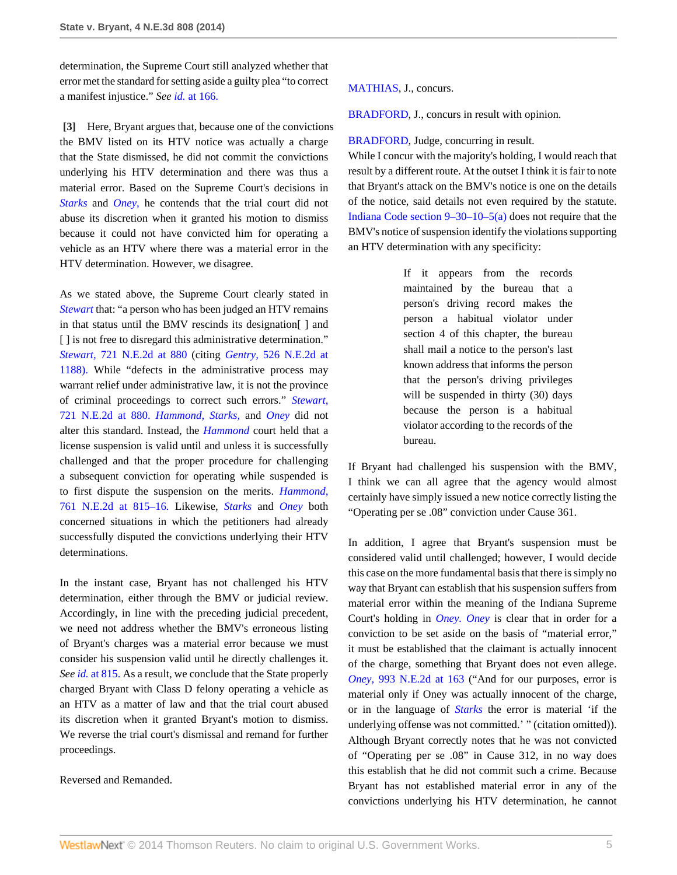determination, the Supreme Court still analyzed whether that error met the standard for setting aside a guilty plea "to correct a manifest injustice." *See id.* [at 166.](http://www.westlaw.com/Link/Document/FullText?findType=Y&serNum=2031384116&originationContext=document&vr=3.0&rs=cblt1.0&transitionType=DocumentItem&contextData=(sc.Search))

<span id="page-4-0"></span>**[\[3\]](#page-0-0)** Here, Bryant argues that, because one of the convictions the BMV listed on its HTV notice was actually a charge that the State dismissed, he did not commit the convictions underlying his HTV determination and there was thus a material error. Based on the Supreme Court's decisions in *[Starks](http://www.westlaw.com/Link/Document/FullText?findType=Y&serNum=2005356873&originationContext=document&vr=3.0&rs=cblt1.0&transitionType=DocumentItem&contextData=(sc.Search))* and *[Oney,](http://www.westlaw.com/Link/Document/FullText?findType=Y&serNum=2031384116&originationContext=document&vr=3.0&rs=cblt1.0&transitionType=DocumentItem&contextData=(sc.Search))* he contends that the trial court did not abuse its discretion when it granted his motion to dismiss because it could not have convicted him for operating a vehicle as an HTV where there was a material error in the HTV determination. However, we disagree.

As we stated above, the Supreme Court clearly stated in *[Stewart](http://www.westlaw.com/Link/Document/FullText?findType=Y&serNum=2000026765&originationContext=document&vr=3.0&rs=cblt1.0&transitionType=DocumentItem&contextData=(sc.Search))* that: "a person who has been judged an HTV remains in that status until the BMV rescinds its designation[ ] and [] is not free to disregard this administrative determination." *Stewart,* [721 N.E.2d at 880](http://www.westlaw.com/Link/Document/FullText?findType=Y&serNum=2000026765&pubNum=578&fi=co_pp_sp_578_880&originationContext=document&vr=3.0&rs=cblt1.0&transitionType=DocumentItem&contextData=(sc.Search)#co_pp_sp_578_880) (citing *Gentry,* [526 N.E.2d at](http://www.westlaw.com/Link/Document/FullText?findType=Y&serNum=1988106831&pubNum=578&fi=co_pp_sp_578_1188&originationContext=document&vr=3.0&rs=cblt1.0&transitionType=DocumentItem&contextData=(sc.Search)#co_pp_sp_578_1188) [1188\).](http://www.westlaw.com/Link/Document/FullText?findType=Y&serNum=1988106831&pubNum=578&fi=co_pp_sp_578_1188&originationContext=document&vr=3.0&rs=cblt1.0&transitionType=DocumentItem&contextData=(sc.Search)#co_pp_sp_578_1188) While "defects in the administrative process may warrant relief under administrative law, it is not the province of criminal proceedings to correct such errors." *[Stewart,](http://www.westlaw.com/Link/Document/FullText?findType=Y&serNum=2000026765&pubNum=578&fi=co_pp_sp_578_880&originationContext=document&vr=3.0&rs=cblt1.0&transitionType=DocumentItem&contextData=(sc.Search)#co_pp_sp_578_880)* [721 N.E.2d at 880.](http://www.westlaw.com/Link/Document/FullText?findType=Y&serNum=2000026765&pubNum=578&fi=co_pp_sp_578_880&originationContext=document&vr=3.0&rs=cblt1.0&transitionType=DocumentItem&contextData=(sc.Search)#co_pp_sp_578_880) *[Hammond,](http://www.westlaw.com/Link/Document/FullText?findType=Y&serNum=2002097384&originationContext=document&vr=3.0&rs=cblt1.0&transitionType=DocumentItem&contextData=(sc.Search)) [Starks,](http://www.westlaw.com/Link/Document/FullText?findType=Y&serNum=2005356873&originationContext=document&vr=3.0&rs=cblt1.0&transitionType=DocumentItem&contextData=(sc.Search))* and *[Oney](http://www.westlaw.com/Link/Document/FullText?findType=Y&serNum=2031384116&originationContext=document&vr=3.0&rs=cblt1.0&transitionType=DocumentItem&contextData=(sc.Search))* did not alter this standard. Instead, the *[Hammond](http://www.westlaw.com/Link/Document/FullText?findType=Y&serNum=2002097384&originationContext=document&vr=3.0&rs=cblt1.0&transitionType=DocumentItem&contextData=(sc.Search))* court held that a license suspension is valid until and unless it is successfully challenged and that the proper procedure for challenging a subsequent conviction for operating while suspended is to first dispute the suspension on the merits. *[Hammond,](http://www.westlaw.com/Link/Document/FullText?findType=Y&serNum=2002097384&pubNum=578&fi=co_pp_sp_578_815&originationContext=document&vr=3.0&rs=cblt1.0&transitionType=DocumentItem&contextData=(sc.Search)#co_pp_sp_578_815)* [761 N.E.2d at 815–16.](http://www.westlaw.com/Link/Document/FullText?findType=Y&serNum=2002097384&pubNum=578&fi=co_pp_sp_578_815&originationContext=document&vr=3.0&rs=cblt1.0&transitionType=DocumentItem&contextData=(sc.Search)#co_pp_sp_578_815) Likewise, *[Starks](http://www.westlaw.com/Link/Document/FullText?findType=Y&serNum=2005356873&originationContext=document&vr=3.0&rs=cblt1.0&transitionType=DocumentItem&contextData=(sc.Search))* and *[Oney](http://www.westlaw.com/Link/Document/FullText?findType=Y&serNum=2031384116&originationContext=document&vr=3.0&rs=cblt1.0&transitionType=DocumentItem&contextData=(sc.Search))* both concerned situations in which the petitioners had already successfully disputed the convictions underlying their HTV determinations.

In the instant case, Bryant has not challenged his HTV determination, either through the BMV or judicial review. Accordingly, in line with the preceding judicial precedent, we need not address whether the BMV's erroneous listing of Bryant's charges was a material error because we must consider his suspension valid until he directly challenges it. *See id.* [at 815.](http://www.westlaw.com/Link/Document/FullText?findType=Y&serNum=2002097384&originationContext=document&vr=3.0&rs=cblt1.0&transitionType=DocumentItem&contextData=(sc.Search)) As a result, we conclude that the State properly charged Bryant with Class D felony operating a vehicle as an HTV as a matter of law and that the trial court abused its discretion when it granted Bryant's motion to dismiss. We reverse the trial court's dismissal and remand for further proceedings.

## Reversed and Remanded.

[MATHIAS,](http://www.westlaw.com/Link/Document/FullText?findType=h&pubNum=176284&cite=0171185001&originatingDoc=Ic4d92210a0a111e381b8b0e9e015e69e&refType=RQ&originationContext=document&vr=3.0&rs=cblt1.0&transitionType=DocumentItem&contextData=(sc.Search)) J., concurs.

[BRADFORD](http://www.westlaw.com/Link/Document/FullText?findType=h&pubNum=176284&cite=0117178901&originatingDoc=Ic4d92210a0a111e381b8b0e9e015e69e&refType=RQ&originationContext=document&vr=3.0&rs=cblt1.0&transitionType=DocumentItem&contextData=(sc.Search)), J., concurs in result with opinion.

#### [BRADFORD](http://www.westlaw.com/Link/Document/FullText?findType=h&pubNum=176284&cite=0117178901&originatingDoc=Ic4d92210a0a111e381b8b0e9e015e69e&refType=RQ&originationContext=document&vr=3.0&rs=cblt1.0&transitionType=DocumentItem&contextData=(sc.Search)), Judge, concurring in result.

While I concur with the majority's holding, I would reach that result by a different route. At the outset I think it is fair to note that Bryant's attack on the BMV's notice is one on the details of the notice, said details not even required by the statute. [Indiana Code section 9–30–10–5\(a\)](http://www.westlaw.com/Link/Document/FullText?findType=L&pubNum=1000009&cite=INS9-30-10-5&originatingDoc=Ic4d92210a0a111e381b8b0e9e015e69e&refType=SP&originationContext=document&vr=3.0&rs=cblt1.0&transitionType=DocumentItem&contextData=(sc.Search)#co_pp_8b3b0000958a4) does not require that the BMV's notice of suspension identify the violations supporting an HTV determination with any specificity:

> If it appears from the records maintained by the bureau that a person's driving record makes the person a habitual violator under section 4 of this chapter, the bureau shall mail a notice to the person's last known address that informs the person that the person's driving privileges will be suspended in thirty (30) days because the person is a habitual violator according to the records of the bureau.

If Bryant had challenged his suspension with the BMV, I think we can all agree that the agency would almost certainly have simply issued a new notice correctly listing the "Operating per se .08" conviction under Cause 361.

In addition, I agree that Bryant's suspension must be considered valid until challenged; however, I would decide this case on the more fundamental basis that there is simply no way that Bryant can establish that his suspension suffers from material error within the meaning of the Indiana Supreme Court's holding in *[Oney.](http://www.westlaw.com/Link/Document/FullText?findType=Y&serNum=2031384116&originationContext=document&vr=3.0&rs=cblt1.0&transitionType=DocumentItem&contextData=(sc.Search)) [Oney](http://www.westlaw.com/Link/Document/FullText?findType=Y&serNum=2031384116&originationContext=document&vr=3.0&rs=cblt1.0&transitionType=DocumentItem&contextData=(sc.Search))* is clear that in order for a conviction to be set aside on the basis of "material error," it must be established that the claimant is actually innocent of the charge, something that Bryant does not even allege. *Oney,* [993 N.E.2d at 163](http://www.westlaw.com/Link/Document/FullText?findType=Y&serNum=2031384116&pubNum=578&fi=co_pp_sp_578_163&originationContext=document&vr=3.0&rs=cblt1.0&transitionType=DocumentItem&contextData=(sc.Search)#co_pp_sp_578_163) ("And for our purposes, error is material only if Oney was actually innocent of the charge, or in the language of *[Starks](http://www.westlaw.com/Link/Document/FullText?findType=Y&serNum=2005356873&originationContext=document&vr=3.0&rs=cblt1.0&transitionType=DocumentItem&contextData=(sc.Search))* the error is material 'if the underlying offense was not committed.' " (citation omitted)). Although Bryant correctly notes that he was not convicted of "Operating per se .08" in Cause 312, in no way does this establish that he did not commit such a crime. Because Bryant has not established material error in any of the convictions underlying his HTV determination, he cannot